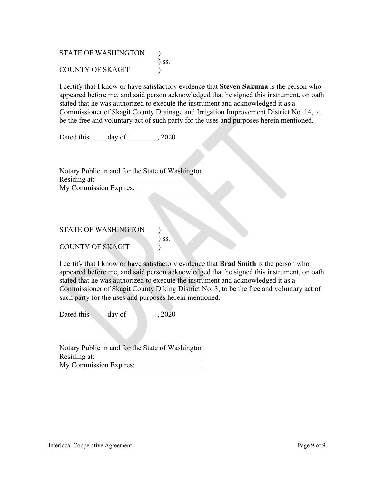STATE OF WASHINGTON ) ss. COUNTY OF SKAGIT )

I certify that I know or have satisfactory evidence that **Steven Sakuma** is the person who appeared before me, and said person acknowledged that he signed this instrument, on oath stated that he was authorized to execute the instrument and acknowledged it as a Commissioner of Skagit County Drainage and Irrigation Improvement District No. 14, to be the free and voluntary act of such party for the uses and purposes herein mentioned.

Dated this day of , 2020

Notary Public in and for the State of Washington Residing at: My Commission Expires:

## STATE OF WASHINGTON

COUNTY OF SKAGIT )

I certify that I know or have satisfactory evidence that **Brad Smith** is the person who appeared before me, and said person acknowledged that he signed this instrument, on oath stated that he was authorized to execute the instrument and acknowledged it as a Commissioner of Skagit County Diking District No. 3, to be the free and voluntary act of such party for the uses and purposes herein mentioned.

) ss.

Dated this day of 3020

Notary Public in and for the State of Washington Residing at: My Commission Expires: